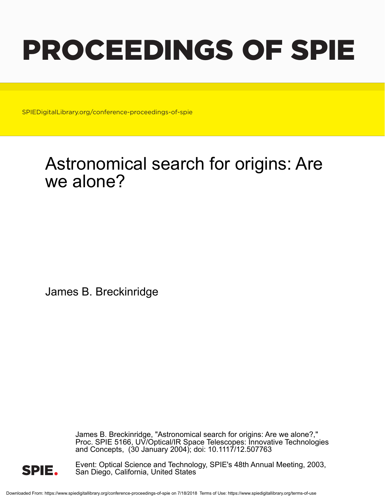# PROCEEDINGS OF SPIE

SPIEDigitalLibrary.org/conference-proceedings-of-spie

## Astronomical search for origins: Are we alone?

James B. Breckinridge

James B. Breckinridge, "Astronomical search for origins: Are we alone?," Proc. SPIE 5166, UV/Optical/IR Space Telescopes: Innovative Technologies and Concepts, (30 January 2004); doi: 10.1117/12.507763



Event: Optical Science and Technology, SPIE's 48th Annual Meeting, 2003, San Diego, California, United States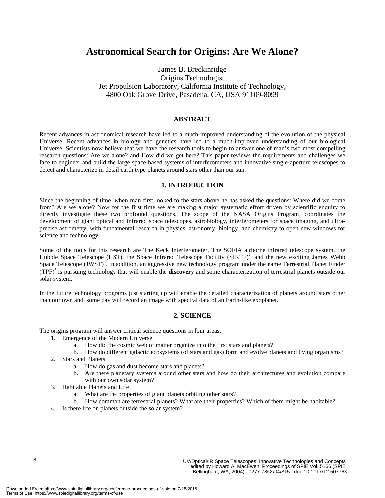### **Astronomical Search for Origins: Are We Alone?**

James B. Breckinridge Origins Technologist Jet Propulsion Laboratory, California Institute of Technology, 4800 Oak Grove Drive, Pasadena, CA, USA 91109-8099

#### **ABSTRACT**

Recent advances in astronomical research have led to a much-improved understanding of the evolution of the physical Universe. Recent advances in biology and genetics have led to a much-improved understanding of our biological Universe. Scientists now believe that we have the research tools to begin to answer one of man's two most compelling research questions: Are we alone? and How did we get here? This paper reviews the requirements and challenges we face to engineer and build the large space-based systems of interferometers and innovative single-aperture telescopes to detect and characterize in detail earth type planets around stars other than our sun.

#### **1. INTRODUCTION**

Since the beginning of time, when man first looked to the stars above he has asked the questions: Where did we come from? Are we alone? Now for the first time we are making a major systematic effort driven by scientific enquiry to directly investigate these two profound questions. The scope of the NASA Origins Program<sup>1</sup> coordinates the development of giant optical and infrared space telescopes, astrobiology, interferometers for space imaging, and ultraprecise astrometry, with fundamental research in physics, astronomy, biology, and chemistry to open new windows for science and technology.

Some of the tools for this research are The Keck Interferometer, The SOFIA airborne infrared telescope system, the Hubble Space Telescope (HST), the Space Infrared Telescope Facility (SIRTF)<sup>2</sup>, and the new exciting James Webb Space Telescope (JWST)<sup>3</sup>. In addition, an aggressive new technology program under the name Terrestrial Planet Finder (TPF)<sup>4</sup> is pursuing technology that will enable the **discovery** and some characterization of terrestrial planets outside our solar system.

In the future technology programs just starting up will enable the detailed characterization of planets around stars other than our own and, some day will record an image with spectral data of an Earth-like exoplanet.

#### **2. SCIENCE**

The origins program will answer critical science questions in four areas.

- 1. Emergence of the Modern Universe
	- a. How did the cosmic web of matter organize into the first stars and planets?
	- b. How do different galactic ecosystems (of stars and gas) form and evolve planets and living organisms?
- 2. Stars and Planets
	- a. How do gas and dust become stars and planets?
	- b. Are there planetary systems around other stars and how do their architectures and evolution compare with our own solar system?
- 3. Habitable Planets and Life
	- a. What are the properties of giant planets orbiting other stars?
	- b. How common are terrestrial planets? What are their properties? Which of them might be habitable?
- 4. Is there life on planets outside the solar system?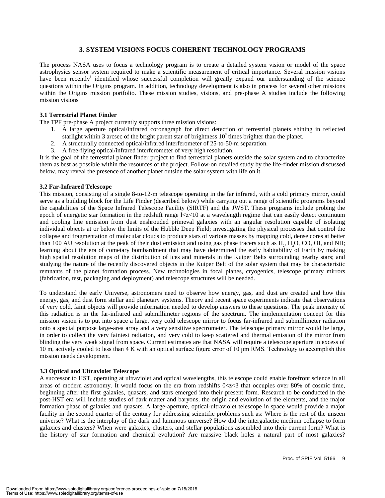#### **3. SYSTEM VISIONS FOCUS COHERENT TECHNOLOGY PROGRAMS**

The process NASA uses to focus a technology program is to create a detailed system vision or model of the space astrophysics sensor system required to make a scientific measurement of critical importance. Several mission visions have been recently<sup>5</sup> identified whose successful completion will greatly expand our understanding of the science questions within the Origins program. In addition, technology development is also in process for several other missions within the Origins mission portfolio. These mission studies, visions, and pre-phase A studies include the following mission visions

#### **3.1 Terrestrial Planet Finder**

The TPF pre-phase A project currently supports three mission visions:

- 1. A large aperture optical/infrared coronagraph for direct detection of terrestrial planets shining in reflected starlight within 3 arcsec of the bright parent star of brightness  $10^{\circ}$  times brighter than the planet.
- 2. A structurally connected optical/infrared interferometer of 25-to-50-m separation.
- 3. A free-flying optical/infrared interferometer of very high resolution.

It is the goal of the terrestrial planet finder project to find terrestrial planets outside the solar system and to characterize them as best as possible within the resources of the project. Follow-on detailed study by the life-finder mission discussed below, may reveal the presence of another planet outside the solar system with life on it.

#### **3.2 Far-Infrared Telescope**

This mission, consisting of a single 8-to-12-m telescope operating in the far infrared, with a cold primary mirror, could serve as a building block for the Life Finder (described below) while carrying out a range of scientific programs beyond the capabilities of the Space Infrared Telescope Facility (SIRTF) and the JWST. These programs include probing the epoch of energetic star formation in the redshift range  $1 < z < 10$  at a wavelength regime that can easily detect continuum and cooling line emission from dust enshrouded primeval galaxies with an angular resolution capable of isolating individual objects at or below the limits of the Hubble Deep Field; investigating the physical processes that control the collapse and fragmentation of molecular clouds to produce stars of various masses by mapping cold, dense cores at better than 100 AU resolution at the peak of their dust emission and using gas phase tracers such as  $H_2$ ,  $H_2O$ , CO, OI, and NII; learning about the era of cometary bombardment that may have determined the early habitability of Earth by making high spatial resolution maps of the distribution of ices and minerals in the Kuiper Belts surrounding nearby stars; and studying the nature of the recently discovered objects in the Kuiper Belt of the solar system that may be characteristic remnants of the planet formation process. New technologies in focal planes, cryogenics, telescope primary mirrors (fabrication, test, packaging and deployment) and telescope structures will be needed.

To understand the early Universe, astronomers need to observe how energy, gas, and dust are created and how this energy, gas, and dust form stellar and planetary systems. Theory and recent space experiments indicate that observations of very cold, faint objects will provide information needed to develop answers to these questions. The peak intensity of this radiation is in the far-infrared and submillimeter regions of the spectrum. The implementation concept for this mission vision is to put into space a large, very cold telescope mirror to focus far-infrared and submillimeter radiation onto a special purpose large-area array and a very sensitive spectrometer. The telescope primary mirror would be large, in order to collect the very faintest radiation, and very cold to keep scattered and thermal emission of the mirror from blinding the very weak signal from space. Current estimates are that NASA will require a telescope aperture in excess of 10 m, actively cooled to less than 4 K with an optical surface figure error of 10  $\mu$ m RMS. Technology to accomplish this mission needs development.

#### **3.3 Optical and Ultraviolet Telescope**

A successor to HST, operating at ultraviolet and optical wavelengths, this telescope could enable forefront science in all areas of modern astronomy. It would focus on the era from redshifts  $0 < z < 3$  that occupies over 80% of cosmic time, beginning after the first galaxies, quasars, and stars emerged into their present form. Research to be conducted in the post-HST era will include studies of dark matter and baryons, the origin and evolution of the elements, and the major formation phase of galaxies and quasars. A large-aperture, optical-ultraviolet telescope in space would provide a major facility in the second quarter of the century for addressing scientific problems such as: Where is the rest of the unseen universe? What is the interplay of the dark and luminous universe? How did the intergalactic medium collapse to form galaxies and clusters? When were galaxies, clusters, and stellar populations assembled into their current form? What is the history of star formation and chemical evolution? Are massive black holes a natural part of most galaxies?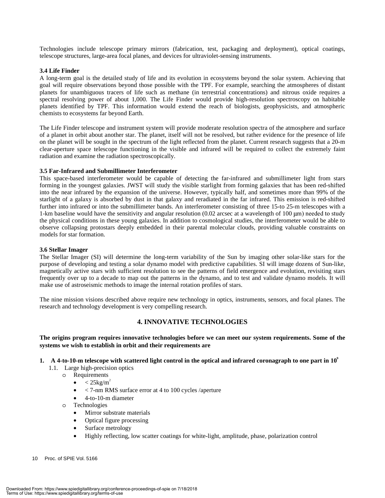Technologies include telescope primary mirrors (fabrication, test, packaging and deployment), optical coatings, telescope structures, large-area focal planes, and devices for ultraviolet-sensing instruments.

#### **3.4 Life Finder**

A long-term goal is the detailed study of life and its evolution in ecosystems beyond the solar system. Achieving that goal will require observations beyond those possible with the TPF. For example, searching the atmospheres of distant planets for unambiguous tracers of life such as methane (in terrestrial concentrations) and nitrous oxide requires a spectral resolving power of about 1,000. The Life Finder would provide high-resolution spectroscopy on habitable planets identified by TPF. This information would extend the reach of biologists, geophysicists, and atmospheric chemists to ecosystems far beyond Earth.

The Life Finder telescope and instrument system will provide moderate resolution spectra of the atmosphere and surface of a planet in orbit about another star. The planet, itself will not be resolved, but rather evidence for the presence of life on the planet will be sought in the spectrum of the light reflected from the planet. Current research suggests that a 20-m clear-aperture space telescope functioning in the visible and infrared will be required to collect the extremely faint radiation and examine the radiation spectroscopically.

#### **3.5 Far-Infrared and Submillimeter Interferometer**

This space-based interferometer would be capable of detecting the far-infrared and submillimeter light from stars forming in the youngest galaxies. JWST will study the visible starlight from forming galaxies that has been red-shifted into the near infrared by the expansion of the universe. However, typically half, and sometimes more than 99% of the starlight of a galaxy is absorbed by dust in that galaxy and reradiated in the far infrared. This emission is red-shifted further into infrared or into the submillimeter bands. An interferometer consisting of three 15-to 25-m telescopes with a 1-km baseline would have the sensitivity and angular resolution  $(0.02 \text{ arcsec at a wavelength of } 100 \text{ µm})$  needed to study the physical conditions in these young galaxies. In addition to cosmological studies, the interferometer would be able to observe collapsing protostars deeply embedded in their parental molecular clouds, providing valuable constraints on models for star formation.

#### **3.6 Stellar Imager**

The Stellar Imager (SI) will determine the long-term variability of the Sun by imaging other solar-like stars for the purpose of developing and testing a solar dynamo model with predictive capabilities. SI will image dozens of Sun-like, magnetically active stars with sufficient resolution to see the patterns of field emergence and evolution, revisiting stars frequently over up to a decade to map out the patterns in the dynamo, and to test and validate dynamo models. It will make use of astroseismic methods to image the internal rotation profiles of stars.

The nine mission visions described above require new technology in optics, instruments, sensors, and focal planes. The research and technology development is very compelling research.

#### **4. INNOVATIVE TECHNOLOGIES**

**The origins program requires innovative technologies before we can meet our system requirements. Some of the systems we wish to establish in orbit and their requirements are** 

- **1. A 4-to-10-m telescope with scattered light control in the optical and infrared coronagraph to one part in 109**
	- 1.1. Large high-precision optics
		- o Requirements
			- $<$  25kg/m<sup>2</sup>
			- < 7-nm RMS surface error at 4 to 100 cycles /aperture
			- 4-to-10-m diameter
		- o Technologies
			- Mirror substrate materials
			- Optical figure processing
			- Surface metrology
			- Highly reflecting, low scatter coatings for white-light, amplitude, phase, polarization control
- 10 Proc. of SPIE Vol. 5166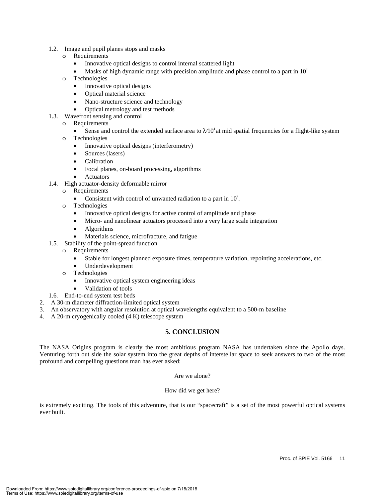- 1.2. Image and pupil planes stops and masks
	- o Requirements
		- Innovative optical designs to control internal scattered light
		- Masks of high dynamic range with precision amplitude and phase control to a part in  $10^{\circ}$
	- o Technologies
		- Innovative optical designs
		- Optical material science
		- Nano-structure science and technology
		- Optical metrology and test methods
- 1.3. Wavefront sensing and control
	- o Requirements
		- Sense and control the extended surface area to  $\lambda 10^4$  at mid spatial frequencies for a flight-like system
	- o Technologies
		- Innovative optical designs (interferometry)
		- Sources (lasers)
		- Calibration
		- Focal planes, on-board processing, algorithms
		- **Actuators**
- 1.4. High actuator-density deformable mirror
	- o Requirements
		- Consistent with control of unwanted radiation to a part in  $10^{\circ}$ .
	- o Technologies
		- Innovative optical designs for active control of amplitude and phase
		- Micro- and nanolinear actuators processed into a very large scale integration
		- Algorithms
		- Materials science, microfracture, and fatigue
- 1.5. Stability of the point-spread function
	- o Requirements
		- Stable for longest planned exposure times, temperature variation, repointing accelerations, etc.
		- Underdevelopment
	- o Technologies
		- Innovative optical system engineering ideas
	- Validation of tools
- 1.6. End-to-end system test beds
- 2. A 30-m diameter diffraction-limited optical system
- 3. An observatory with angular resolution at optical wavelengths equivalent to a 500-m baseline
- 4. A 20-m cryogenically cooled (4 K) telescope system

#### **5. CONCLUSION**

The NASA Origins program is clearly the most ambitious program NASA has undertaken since the Apollo days. Venturing forth out side the solar system into the great depths of interstellar space to seek answers to two of the most profound and compelling questions man has ever asked:

Are we alone?

#### How did we get here?

is extremely exciting. The tools of this adventure, that is our "spacecraft" is a set of the most powerful optical systems ever built.